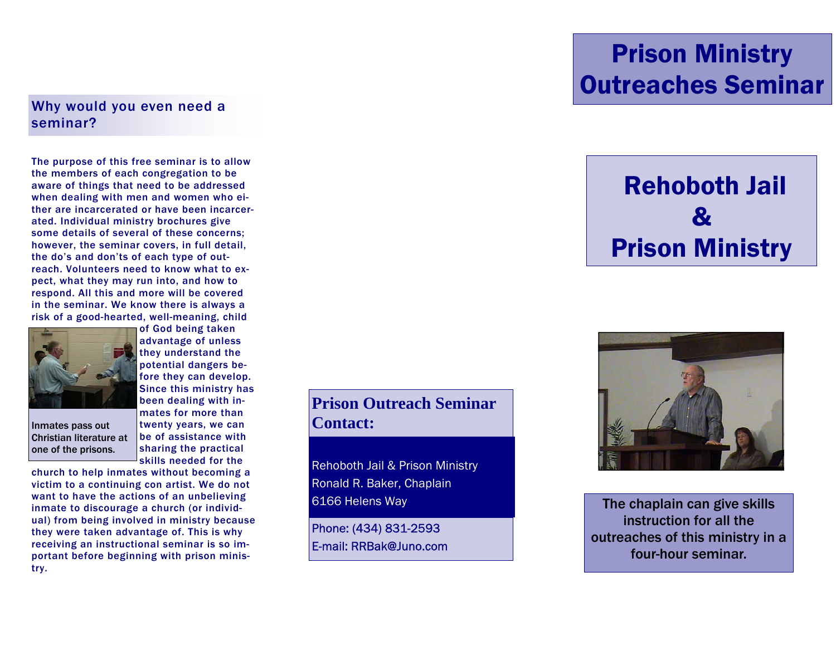#### Why would you even need a seminar?

The purpose of this free seminar is to allow the members of each congregation to be aware of things that need to be addressed when dealing with men and women who either are incarcerated or have been incarcerated. Individual ministry brochures give some details of several of these concerns; however, the seminar covers, in full detail, the do's and don'ts of each type of outreach. Volunteers need to know what to expect, what they may run into, and how to respond. All this and more will be covered in the seminar. We know there is always a risk of a good-hearted, well-meaning, child



Christian literature at one of the prisons.

of God being taken advantage of unless they understand the potential dangers before they can develop. Since this ministry has been dealing with inmates for more than Inmates pass out  $\qquad$  twenty years, we can  $\qquad$  **Contact:** be of assistance with sharing the practical skills needed for the

church to help inmates without becoming a victim to a continuing con artist. We do not want to have the actions of an unbelieving inmate to discourage a church (or individual) from being involved in ministry because they were taken advantage of. This is why receiving an instructional seminar is so important before beginning with prison ministry.

**Prison Outreach Seminar** 

Rehoboth Jail & Prison Ministry Ronald R. Baker, Chaplain 6166 Helens Way

Phone: (434) 831-2593 E-mail: RRBak@Juno.com

## Prison Ministry Outreaches Seminar

# Rehoboth Jail  $\boldsymbol{\mathcal{R}}$ Prison Ministry



The chaplain can give skills instruction for all the outreaches of this ministry in a four-hour seminar.